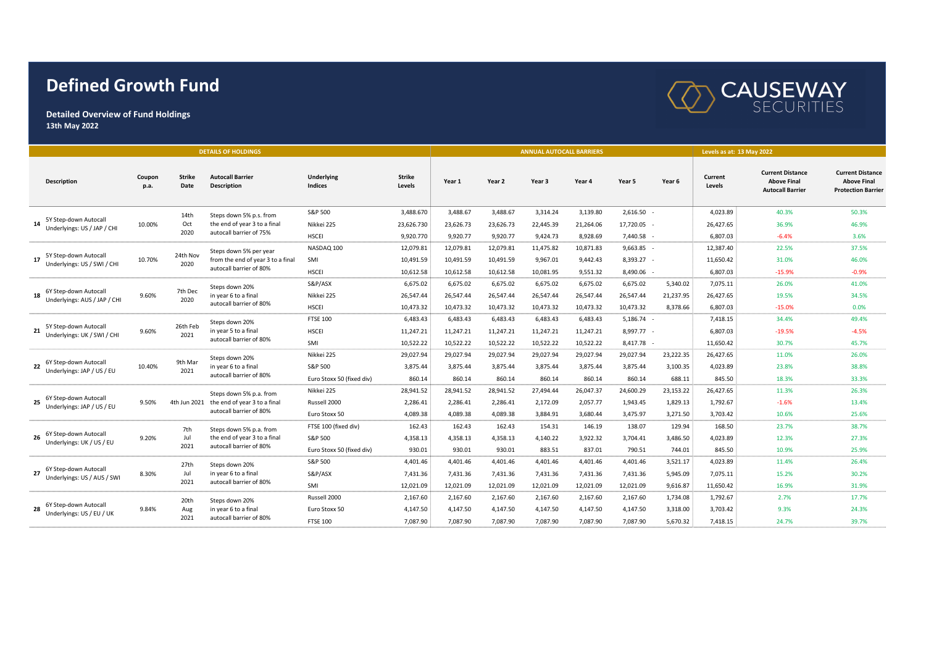## **Defined Growth Fund**



**Detailed Overview of Fund Holdings 13th May 2022**

| <b>DETAILS OF HOLDINGS</b>                                  |                |                       |                                                                                        |                                     |                         |           |           | <b>ANNUAL AUTOCALL BARRIERS</b> |           | Levels as at: 13 May 2022 |           |                   |                                                                          |                                                                            |
|-------------------------------------------------------------|----------------|-----------------------|----------------------------------------------------------------------------------------|-------------------------------------|-------------------------|-----------|-----------|---------------------------------|-----------|---------------------------|-----------|-------------------|--------------------------------------------------------------------------|----------------------------------------------------------------------------|
| <b>Description</b>                                          | Coupon<br>p.a. | <b>Strike</b><br>Date | <b>Autocall Barrier</b><br><b>Description</b>                                          | <b>Underlying</b><br><b>Indices</b> | <b>Strike</b><br>Levels | Year 1    | Year 2    | Year 3                          | Year 4    | Year 5                    | Year 6    | Current<br>Levels | <b>Current Distance</b><br><b>Above Final</b><br><b>Autocall Barrier</b> | <b>Current Distance</b><br><b>Above Final</b><br><b>Protection Barrier</b> |
| 5Y Step-down Autocall<br>Underlyings: US / JAP / CHI        |                | 14th<br>Oct<br>2020   | Steps down 5% p.s. from<br>the end of year 3 to a final<br>autocall barrier of 75%     | S&P 500                             | 3,488.670               | 3,488.67  | 3,488.67  | 3,314.24                        | 3,139.80  | 2,616.50                  |           | 4,023.89          | 40.3%                                                                    | 50.3%                                                                      |
|                                                             | 10.00%         |                       |                                                                                        | Nikkei 225                          | 23,626.730              | 23,626.73 | 23,626.73 | 22,445.39                       | 21,264.06 | 17,720.05                 |           | 26,427.65         | 36.9%                                                                    | 46.9%                                                                      |
|                                                             |                |                       |                                                                                        | <b>HSCEI</b>                        | 9,920.770               | 9,920.77  | 9,920.77  | 9,424.73                        | 8,928.69  | 7,440.58 -                |           | 6,807.03          | $-6.4%$                                                                  | 3.6%                                                                       |
| 5Y Step-down Autocall<br>17<br>Underlyings: US / SWI / CHI  |                | 24th Nov<br>2020      | Steps down 5% per year<br>from the end of year 3 to a final<br>autocall barrier of 80% | NASDAQ 100                          | 12,079.81               | 12,079.81 | 12,079.81 | 11,475.82                       | 10,871.83 | $9,663.85 -$              |           | 12,387.40         | 22.5%                                                                    | 37.5%                                                                      |
|                                                             | 10.70%         |                       |                                                                                        | SMI                                 | 10,491.59               | 10,491.59 | 10,491.59 | 9,967.01                        | 9,442.43  | 8,393.27 -                |           | 11,650.42         | 31.0%                                                                    | 46.0%                                                                      |
|                                                             |                |                       |                                                                                        | <b>HSCEI</b>                        | 10,612.58               | 10,612.58 | 10,612.58 | 10,081.95                       | 9,551.32  | 8,490.06                  |           | 6,807.03          | $-15.9%$                                                                 | $-0.9%$                                                                    |
| 6Y Step-down Autocall<br>18<br>Underlyings: AUS / JAP / CHI |                | 7th Dec<br>2020       | Steps down 20%<br>in year 6 to a final<br>autocall barrier of 80%                      | S&P/ASX                             | 6,675.02                | 6,675.02  | 6,675.02  | 6,675.02                        | 6,675.02  | 6,675.02                  | 5.340.02  | 7,075.11          | 26.0%                                                                    | 41.0%                                                                      |
|                                                             | 9.60%          |                       |                                                                                        | Nikkei 225                          | 26,547.44               | 26,547.44 | 26,547.44 | 26,547.44                       | 26,547.44 | 26,547.44                 | 21,237.95 | 26,427.65         | 19.5%                                                                    | 34.5%                                                                      |
|                                                             |                |                       |                                                                                        | <b>HSCEI</b>                        | 10,473.32               | 10,473.32 | 10,473.32 | 10,473.32                       | 10,473.32 | 10,473.32                 | 8,378.66  | 6,807.03          | $-15.0%$                                                                 | 0.0%                                                                       |
| 5Y Step-down Autocall<br>21<br>Underlyings: UK / SWI / CHI  |                |                       | Steps down 20%<br>in year 5 to a final<br>autocall barrier of 80%                      | <b>FTSE 100</b>                     | 6,483.43                | 6,483.43  | 6,483.43  | 6,483.43                        | 6,483.43  | $5,186.74 -$              |           | 7,418.15          | 34.4%                                                                    | 49.4%                                                                      |
|                                                             | 9.60%          | 26th Feb<br>2021      |                                                                                        | <b>HSCEI</b>                        | 11,247.21               | 11,247.21 | 11,247.21 | 11,247.21                       | 11,247.21 | 8,997.77 -                |           | 6,807.03          | $-19.5%$                                                                 | $-4.5%$                                                                    |
|                                                             |                |                       |                                                                                        | SMI                                 | 10,522.22               | 10,522.22 | 10,522.22 | 10,522.22                       | 10,522.22 | 8,417.78                  |           | 11,650.42         | 30.7%                                                                    | 45.7%                                                                      |
| 6Y Step-down Autocall<br>22<br>Underlyings: JAP / US / EU   |                | 9th Mar<br>2021       | Steps down 20%<br>in year 6 to a final<br>autocall barrier of 80%                      | Nikkei 225                          | 29,027.94               | 29,027.94 | 29,027.94 | 29,027.94                       | 29,027.94 | 29,027.94                 | 23,222.35 | 26,427.65         | 11.0%                                                                    | 26.0%                                                                      |
|                                                             | 10.40%         |                       |                                                                                        | S&P 500                             | 3,875.44                | 3,875.44  | 3,875.44  | 3,875.44                        | 3,875.44  | 3,875.44                  | 3,100.35  | 4,023.89          | 23.8%                                                                    | 38.8%                                                                      |
|                                                             |                |                       |                                                                                        | Euro Stoxx 50 (fixed div)           | 860.14                  | 860.14    | 860.14    | 860.14                          | 860.14    | 860.14                    | 688.11    | 845.50            | 18.3%                                                                    | 33.3%                                                                      |
| 6Y Step-down Autocall<br>Underlyings: JAP / US / EU         | 9.50%          | 4th Jun 2021          | Steps down 5% p.a. from<br>the end of year 3 to a final<br>autocall barrier of 80%     | Nikkei 225                          | 28,941.52               | 28,941.52 | 28,941.52 | 27,494.44                       | 26,047.37 | 24,600.29                 | 23,153.22 | 26,427.65         | 11.3%                                                                    | 26.3%                                                                      |
|                                                             |                |                       |                                                                                        | Russell 2000                        | 2,286.41                | 2,286.41  | 2,286.41  | 2,172.09                        | 2,057.77  | 1,943.45                  | 1,829.13  | 1,792.67          | $-1.6%$                                                                  | 13.4%                                                                      |
|                                                             |                |                       |                                                                                        | Euro Stoxx 50                       | 4,089.38                | 4,089.38  | 4,089.38  | 3,884.91                        | 3,680.44  | 3,475.97                  | 3,271.50  | 3,703.42          | 10.6%                                                                    | 25.6%                                                                      |
| 6Y Step-down Autocall<br>Underlyings: UK / US / EU          |                | 7th<br>Jul<br>2021    | Steps down 5% p.a. from<br>the end of year 3 to a final<br>autocall barrier of 80%     | FTSE 100 (fixed div)                | 162.43                  | 162.43    | 162.43    | 154.31                          | 146.19    | 138.07                    | 129.94    | 168.50            | 23.7%                                                                    | 38.7%                                                                      |
|                                                             | 9.20%          |                       |                                                                                        | S&P 500                             | 4,358.13                | 4,358.13  | 4,358.13  | 4,140.22                        | 3,922.32  | 3,704.41                  | 3,486.50  | 4,023.89          | 12.3%                                                                    | 27.3%                                                                      |
|                                                             |                |                       |                                                                                        | Euro Stoxx 50 (fixed div)           | 930.01                  | 930.01    | 930.01    | 883.51                          | 837.01    | 790.51                    | 744.01    | 845.50            | 10.9%                                                                    | 25.9%                                                                      |
| 6Y Step-down Autocall<br>27<br>Underlyings: US / AUS / SWI  |                | 27th<br>Jul<br>2021   | Steps down 20%<br>in year 6 to a final<br>autocall barrier of 80%                      | S&P 500                             | 4,401.46                | 4,401.46  | 4,401.46  | 4,401.46                        | 4,401.46  | 4,401.46                  | 3,521.17  | 4,023.89          | 11.4%                                                                    | 26.4%                                                                      |
|                                                             | 8.30%          |                       |                                                                                        | S&P/ASX                             | 7,431.36                | 7,431.36  | 7,431.36  | 7,431.36                        | 7,431.36  | 7,431.36                  | 5,945.09  | 7,075.11          | 15.2%                                                                    | 30.2%                                                                      |
|                                                             |                |                       |                                                                                        | SMI                                 | 12,021.09               | 12,021.09 | 12,021.09 | 12,021.09                       | 12,021.09 | 12.021.09                 | 9,616.87  | 11,650.42         | 16.9%                                                                    | 31.9%                                                                      |
| 6Y Step-down Autocall<br>Underlyings: US / EU / UK          |                | 20th                  | Steps down 20%<br>in year 6 to a final<br>autocall barrier of 80%                      | Russell 2000                        | 2,167.60                | 2,167.60  | 2,167.60  | 2,167.60                        | 2,167.60  | 2,167.60                  | 1,734.08  | 1,792.67          | 2.7%                                                                     | 17.7%                                                                      |
|                                                             | 9.84%          | Aug<br>2021           |                                                                                        | Euro Stoxx 50                       | 4,147.50                | 4,147.50  | 4,147.50  | 4,147.50                        | 4,147.50  | 4,147.50                  | 3,318.00  | 3,703.42          | 9.3%                                                                     | 24.3%                                                                      |
|                                                             |                |                       |                                                                                        | <b>FTSE 100</b>                     | 7,087.90                | 7,087.90  | 7,087.90  | 7,087.90                        | 7,087.90  | 7,087.90                  | 5,670.32  | 7,418.15          | 24.7%                                                                    | 39.7%                                                                      |